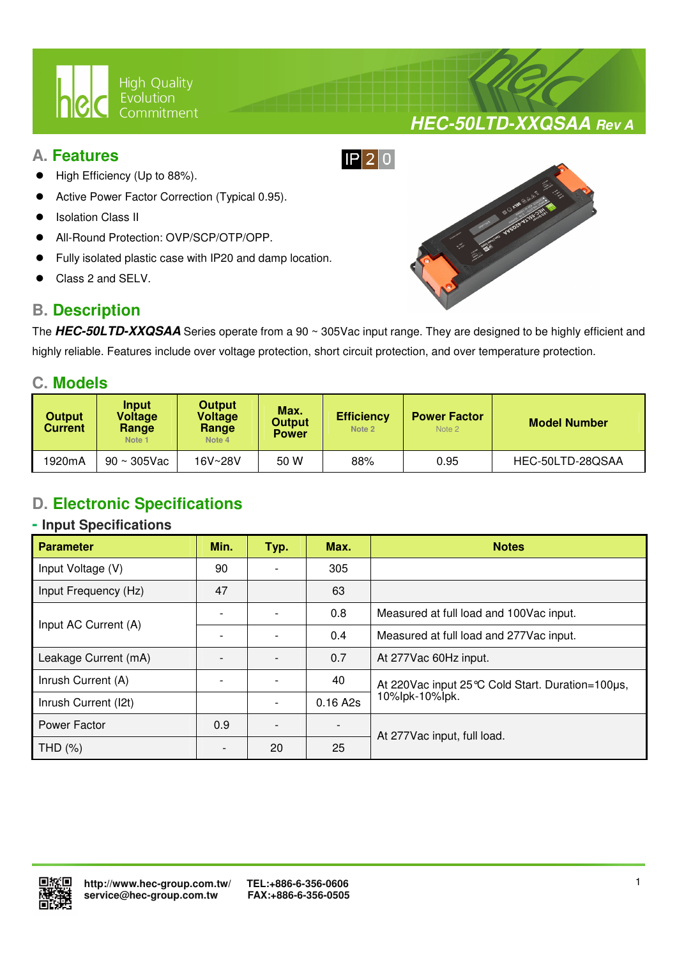

# **A. Features**

- High Efficiency (Up to 88%).
- Active Power Factor Correction (Typical 0.95).
- Isolation Class II
- All-Round Protection: OVP/SCP/OTP/OPP.
- Fully isolated plastic case with IP20 and damp location.

 $\overline{a}$ 

Class 2 and SELV.

# **B. Description**



**HEC-50LTD-XXQSAA Rev A**

The **HEC-50LTD-XXQSAA** Series operate from a 90 ~ 305Vac input range. They are designed to be highly efficient and highly reliable. Features include over voltage protection, short circuit protection, and over temperature protection.

### **C. Models**

| <b>Output</b><br><b>Current</b> | <b>Input</b><br>Voltage<br>Range<br>Note <sub>1</sub> | <b>Output</b><br>Voltage<br>Range<br>Note 4 | Max.<br><b>Output</b><br><b>Power</b> | <b>Efficiency</b><br>Note 2 | <b>Power Factor</b><br>Note 2 | <b>Model Number</b> |  |
|---------------------------------|-------------------------------------------------------|---------------------------------------------|---------------------------------------|-----------------------------|-------------------------------|---------------------|--|
| 1920mA                          | $90 \sim 305$ Vac                                     | 16V~28V                                     | 50 W                                  | 88%                         | 0.95                          | HEC-50LTD-28QSAA    |  |

# **D. Electronic Specifications**

#### **- Input Specifications**

| <b>Parameter</b>     | Min. | Typ. | Max.     | <b>Notes</b>                                       |  |
|----------------------|------|------|----------|----------------------------------------------------|--|
| Input Voltage (V)    | 90   |      | 305      |                                                    |  |
| Input Frequency (Hz) | 47   |      | 63       |                                                    |  |
| Input AC Current (A) |      |      | 0.8      | Measured at full load and 100Vac input.            |  |
|                      |      |      | 0.4      | Measured at full load and 277Vac input.            |  |
| Leakage Current (mA) |      |      | 0.7      | At 277Vac 60Hz input.                              |  |
| Inrush Current (A)   |      |      | 40       | At 220 Vac input 25 °C Cold Start. Duration=100µs, |  |
| Inrush Current (I2t) |      |      | 0.16 A2s | 10%lpk-10%lpk.                                     |  |
| Power Factor         | 0.9  |      |          | At 277Vac input, full load.                        |  |
| THD (%)              |      | 20   | 25       |                                                    |  |

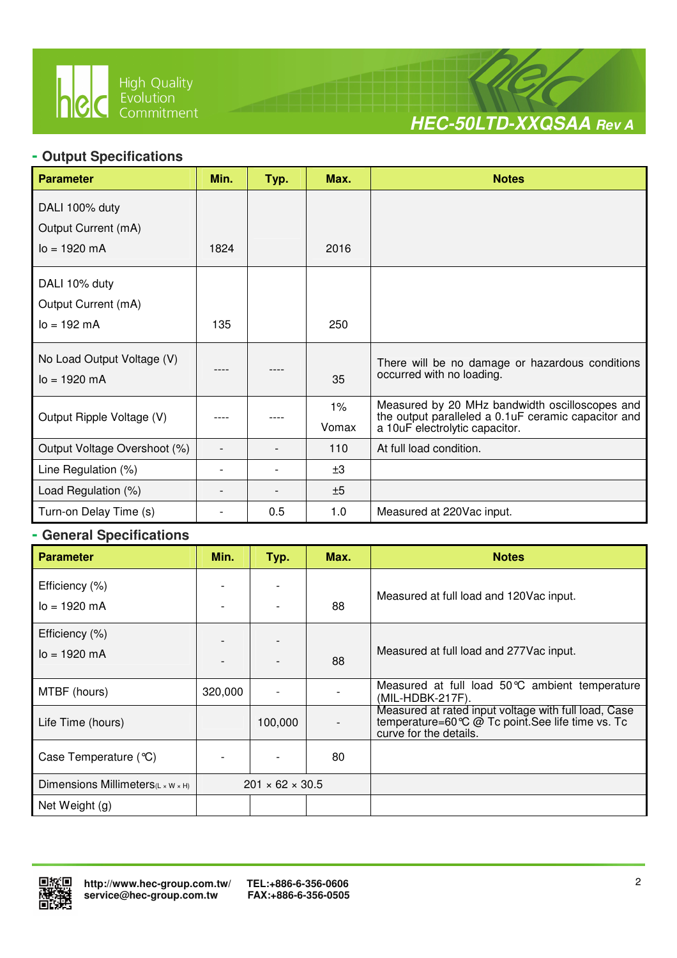

 $\overline{a}$ 



# **- Output Specifications**

| <b>Parameter</b>                                      | Min. | Typ. | Max.  | <b>Notes</b>                                                                                          |
|-------------------------------------------------------|------|------|-------|-------------------------------------------------------------------------------------------------------|
| DALI 100% duty                                        |      |      |       |                                                                                                       |
| Output Current (mA)                                   |      |      |       |                                                                                                       |
| $lo = 1920 mA$                                        | 1824 |      | 2016  |                                                                                                       |
| DALI 10% duty                                         |      |      |       |                                                                                                       |
| Output Current (mA)                                   |      |      |       |                                                                                                       |
| $I_0 = 192 \, mA$                                     | 135  |      | 250   |                                                                                                       |
| No Load Output Voltage (V)<br>$I_0 = 1920 \text{ mA}$ |      |      | 35    | There will be no damage or hazardous conditions<br>occurred with no loading.                          |
|                                                       |      |      | $1\%$ | Measured by 20 MHz bandwidth oscilloscopes and<br>the output paralleled a 0.1uF ceramic capacitor and |
| Output Ripple Voltage (V)                             |      |      | Vomax | a 10uF electrolytic capacitor.                                                                        |
| Output Voltage Overshoot (%)                          |      |      | 110   | At full load condition.                                                                               |
| Line Regulation (%)                                   |      |      | ±3    |                                                                                                       |
| Load Regulation (%)                                   |      |      | ±5    |                                                                                                       |
| Turn-on Delay Time (s)                                |      | 0.5  | 1.0   | Measured at 220Vac input.                                                                             |

#### **- General Specifications**

| <b>Parameter</b>                               | Min.    | Typ.                        | Max. | <b>Notes</b>                                                                                                                        |
|------------------------------------------------|---------|-----------------------------|------|-------------------------------------------------------------------------------------------------------------------------------------|
| Efficiency (%)<br>$lo = 1920 mA$               |         |                             | 88   | Measured at full load and 120Vac input.                                                                                             |
| Efficiency (%)<br>$I_0 = 1920$ mA              |         |                             | 88   | Measured at full load and 277 Vac input.                                                                                            |
| MTBF (hours)                                   | 320,000 |                             |      | Measured at full load 50°C ambient temperature<br>(MIL-HDBK-217F).                                                                  |
| Life Time (hours)                              |         | 100,000                     |      | Measured at rated input voltage with full load, Case<br>temperature=60 ℃ @ Tc point. See life time vs. Tc<br>curve for the details. |
| Case Temperature (°C)                          |         |                             | 80   |                                                                                                                                     |
| Dimensions Millimeters $(L \times W \times H)$ |         | $201 \times 62 \times 30.5$ |      |                                                                                                                                     |
| Net Weight (g)                                 |         |                             |      |                                                                                                                                     |

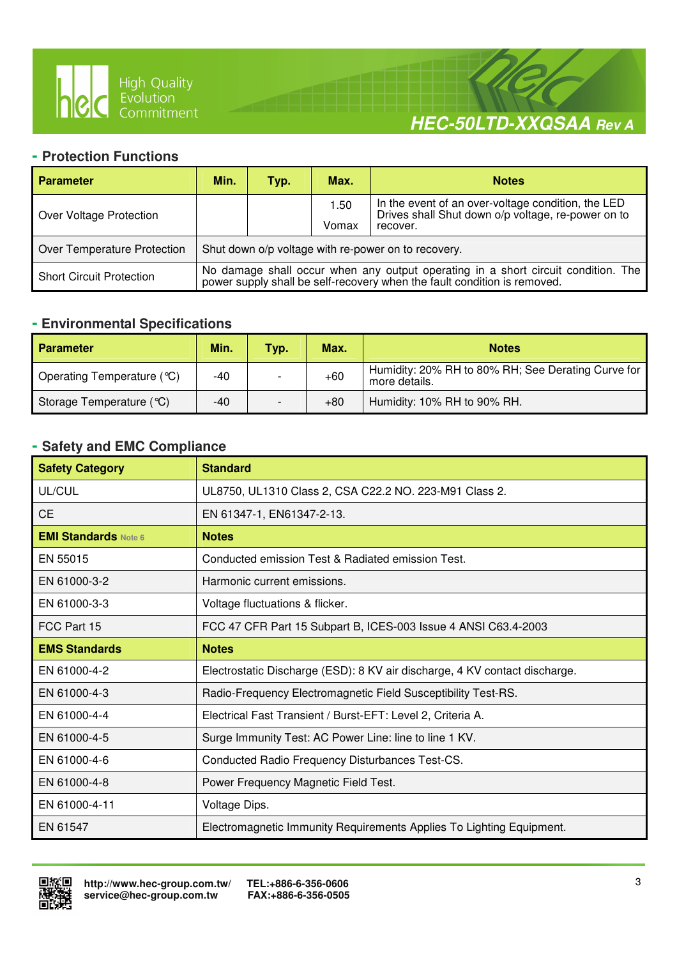

 $\overline{a}$ 



#### **- Protection Functions**

| <b>Parameter</b>                | Min.                                                | Typ. | Max.          | <b>Notes</b>                                                                                                                                               |  |  |
|---------------------------------|-----------------------------------------------------|------|---------------|------------------------------------------------------------------------------------------------------------------------------------------------------------|--|--|
| Over Voltage Protection         |                                                     |      | 1.50<br>Vomax | In the event of an over-voltage condition, the LED<br>Drives shall Shut down o/p voltage, re-power on to<br>recover.                                       |  |  |
| Over Temperature Protection     | Shut down o/p voltage with re-power on to recovery. |      |               |                                                                                                                                                            |  |  |
| <b>Short Circuit Protection</b> |                                                     |      |               | No damage shall occur when any output operating in a short circuit condition. The power supply shall be self-recovery when the fault condition is removed. |  |  |

#### **- Environmental Specifications**

| <b>Parameter</b>           | Min. | Typ. | Max.  | <b>Notes</b>                                                        |  |
|----------------------------|------|------|-------|---------------------------------------------------------------------|--|
| Operating Temperature (°C) | -40  |      | $+60$ | Humidity: 20% RH to 80% RH; See Derating Curve for<br>more details. |  |
| Storage Temperature (°C)   | -40  |      | $+80$ | Humidity: 10% RH to 90% RH.                                         |  |

# **- Safety and EMC Compliance**

| <b>Safety Category</b>      | <b>Standard</b>                                                            |
|-----------------------------|----------------------------------------------------------------------------|
| UL/CUL                      | UL8750, UL1310 Class 2, CSA C22.2 NO. 223-M91 Class 2.                     |
| <b>CE</b>                   | EN 61347-1, EN61347-2-13.                                                  |
| <b>EMI Standards Note 6</b> | <b>Notes</b>                                                               |
| EN 55015                    | Conducted emission Test & Radiated emission Test.                          |
| EN 61000-3-2                | Harmonic current emissions.                                                |
| EN 61000-3-3                | Voltage fluctuations & flicker.                                            |
| FCC Part 15                 | FCC 47 CFR Part 15 Subpart B, ICES-003 Issue 4 ANSI C63.4-2003             |
| <b>EMS Standards</b>        | <b>Notes</b>                                                               |
| EN 61000-4-2                | Electrostatic Discharge (ESD): 8 KV air discharge, 4 KV contact discharge. |
| EN 61000-4-3                | Radio-Frequency Electromagnetic Field Susceptibility Test-RS.              |
| EN 61000-4-4                | Electrical Fast Transient / Burst-EFT: Level 2, Criteria A.                |
| EN 61000-4-5                | Surge Immunity Test: AC Power Line: line to line 1 KV.                     |
| EN 61000-4-6                | Conducted Radio Frequency Disturbances Test-CS.                            |
| EN 61000-4-8                | Power Frequency Magnetic Field Test.                                       |
| EN 61000-4-11               | Voltage Dips.                                                              |
| EN 61547                    | Electromagnetic Immunity Requirements Applies To Lighting Equipment.       |

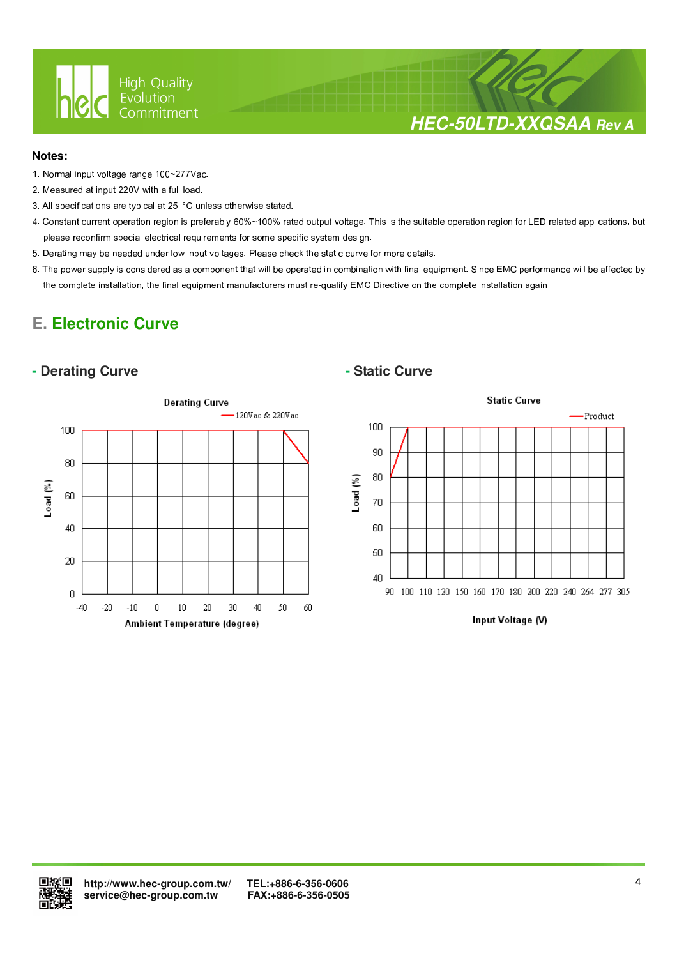

# **HEC-50LTD-XXQSAA Rev A**

#### **Notes:**

- 1. Normal input voltage range 100~277Vac.
- 2. Measured at input 220V with a full load.
- 3. All specifications are typical at 25 °C unless otherwise stated.

 $\overline{a}$ 

- 4. Constant current operation region is preferably 60%~100% rated output voltage. This is the suitable operation region for LED related applications, but please reconfirm special electrical requirements for some specific system design.
- 5. Derating may be needed under low input voltages. Please check the static curve for more details.
- 6. The power supply is considered as a component that will be operated in combination with final equipment. Since EMC performance will be affected by the complete installation, the final equipment manufacturers must re-qualify EMC Directive on the complete installation again

# **E. Electronic Curve**

#### **- Derating Curve**  $\qquad$  **- Static Curve**





Input Voltage (V)

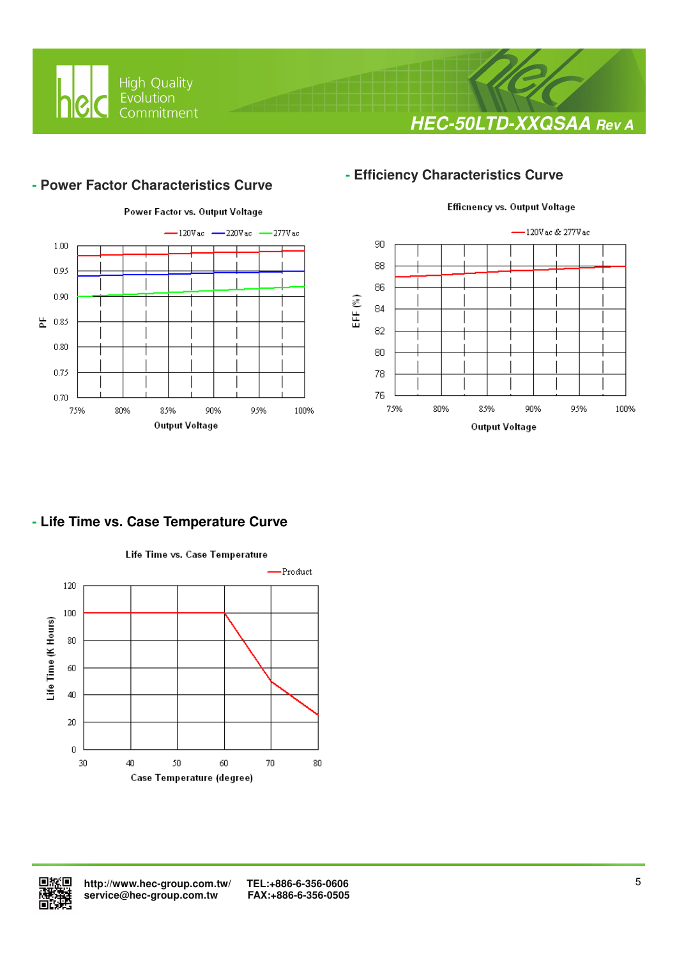

# **HEC-50LTD-XXQSAA Rev A**

#### **- Power Factor Characteristics Curve**

 $\overline{a}$ 



## **- Efficiency Characteristics Curve**



#### **- Life Time vs. Case Temperature Curve**